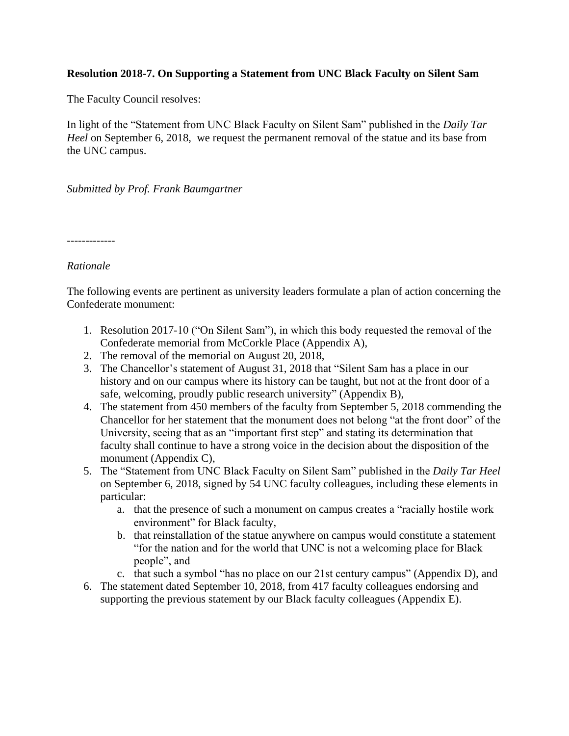### **Resolution 2018-7. On Supporting a Statement from UNC Black Faculty on Silent Sam**

The Faculty Council resolves:

In light of the "Statement from UNC Black Faculty on Silent Sam" published in the *Daily Tar Heel* on September 6, 2018, we request the permanent removal of the statue and its base from the UNC campus.

*Submitted by Prof. Frank Baumgartner*

-------------

### *Rationale*

The following events are pertinent as university leaders formulate a plan of action concerning the Confederate monument:

- 1. Resolution 2017-10 ("On Silent Sam"), in which this body requested the removal of the Confederate memorial from McCorkle Place (Appendix A),
- 2. The removal of the memorial on August 20, 2018,
- 3. The Chancellor's statement of August 31, 2018 that "Silent Sam has a place in our history and on our campus where its history can be taught, but not at the front door of a safe, welcoming, proudly public research university" (Appendix B),
- 4. The statement from 450 members of the faculty from September 5, 2018 commending the Chancellor for her statement that the monument does not belong "at the front door" of the University, seeing that as an "important first step" and stating its determination that faculty shall continue to have a strong voice in the decision about the disposition of the monument (Appendix C),
- 5. The "Statement from UNC Black Faculty on Silent Sam" published in the *Daily Tar Heel* on September 6, 2018, signed by 54 UNC faculty colleagues, including these elements in particular:
	- a. that the presence of such a monument on campus creates a "racially hostile work environment" for Black faculty,
	- b. that reinstallation of the statue anywhere on campus would constitute a statement "for the nation and for the world that UNC is not a welcoming place for Black people", and
	- c. that such a symbol "has no place on our 21st century campus" (Appendix D), and
- 6. The statement dated September 10, 2018, from 417 faculty colleagues endorsing and supporting the previous statement by our Black faculty colleagues (Appendix E).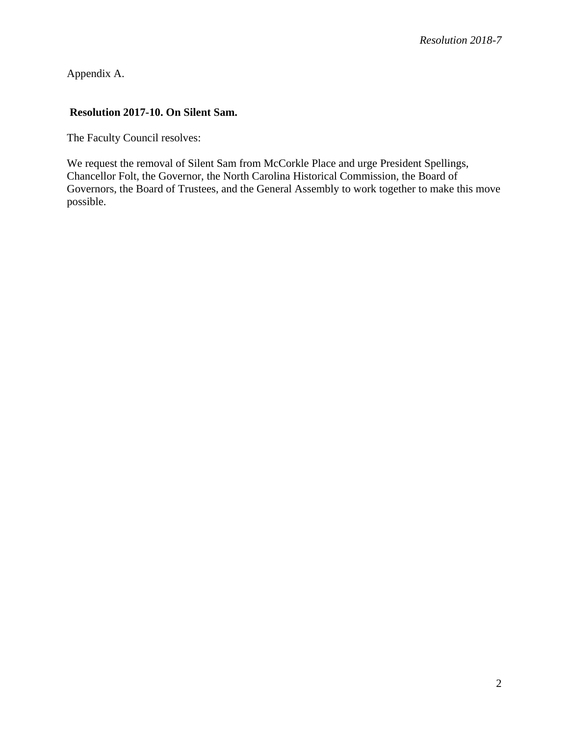Appendix A.

# **Resolution 2017-10. On Silent Sam.**

The Faculty Council resolves:

We request the removal of Silent Sam from McCorkle Place and urge President Spellings, Chancellor Folt, the Governor, the North Carolina Historical Commission, the Board of Governors, the Board of Trustees, and the General Assembly to work together to make this move possible.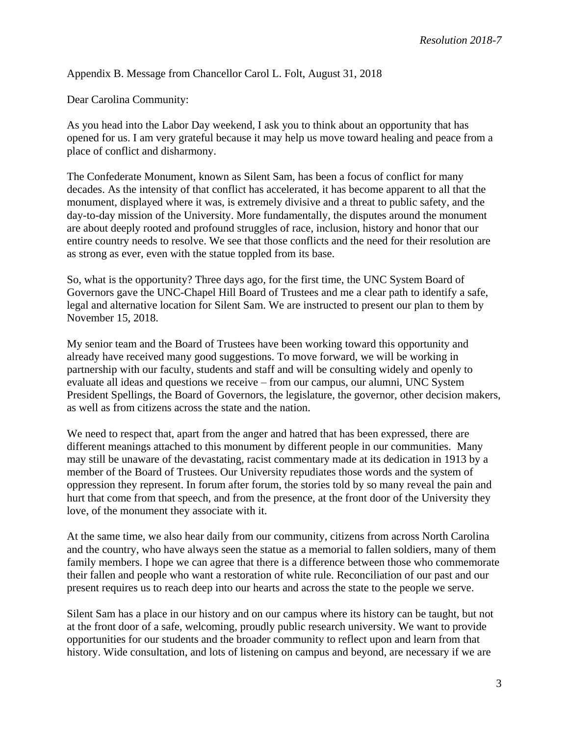Appendix B. Message from Chancellor Carol L. Folt, August 31, 2018

Dear Carolina Community:

As you head into the Labor Day weekend, I ask you to think about an opportunity that has opened for us. I am very grateful because it may help us move toward healing and peace from a place of conflict and disharmony.

The Confederate Monument, known as Silent Sam, has been a focus of conflict for many decades. As the intensity of that conflict has accelerated, it has become apparent to all that the monument, displayed where it was, is extremely divisive and a threat to public safety, and the day-to-day mission of the University. More fundamentally, the disputes around the monument are about deeply rooted and profound struggles of race, inclusion, history and honor that our entire country needs to resolve. We see that those conflicts and the need for their resolution are as strong as ever, even with the statue toppled from its base.

So, what is the opportunity? Three days ago, for the first time, the UNC System Board of Governors gave the UNC-Chapel Hill Board of Trustees and me a clear path to identify a safe, legal and alternative location for Silent Sam. We are instructed to present our plan to them by November 15, 2018.

My senior team and the Board of Trustees have been working toward this opportunity and already have received many good suggestions. To move forward, we will be working in partnership with our faculty, students and staff and will be consulting widely and openly to evaluate all ideas and questions we receive – from our campus, our alumni, UNC System President Spellings, the Board of Governors, the legislature, the governor, other decision makers, as well as from citizens across the state and the nation.

We need to respect that, apart from the anger and hatred that has been expressed, there are different meanings attached to this monument by different people in our communities. Many may still be unaware of the devastating, racist commentary made at its dedication in 1913 by a member of the Board of Trustees. Our University repudiates those words and the system of oppression they represent. In forum after forum, the stories told by so many reveal the pain and hurt that come from that speech, and from the presence, at the front door of the University they love, of the monument they associate with it.

At the same time, we also hear daily from our community, citizens from across North Carolina and the country, who have always seen the statue as a memorial to fallen soldiers, many of them family members. I hope we can agree that there is a difference between those who commemorate their fallen and people who want a restoration of white rule. Reconciliation of our past and our present requires us to reach deep into our hearts and across the state to the people we serve.

Silent Sam has a place in our history and on our campus where its history can be taught, but not at the front door of a safe, welcoming, proudly public research university. We want to provide opportunities for our students and the broader community to reflect upon and learn from that history. Wide consultation, and lots of listening on campus and beyond, are necessary if we are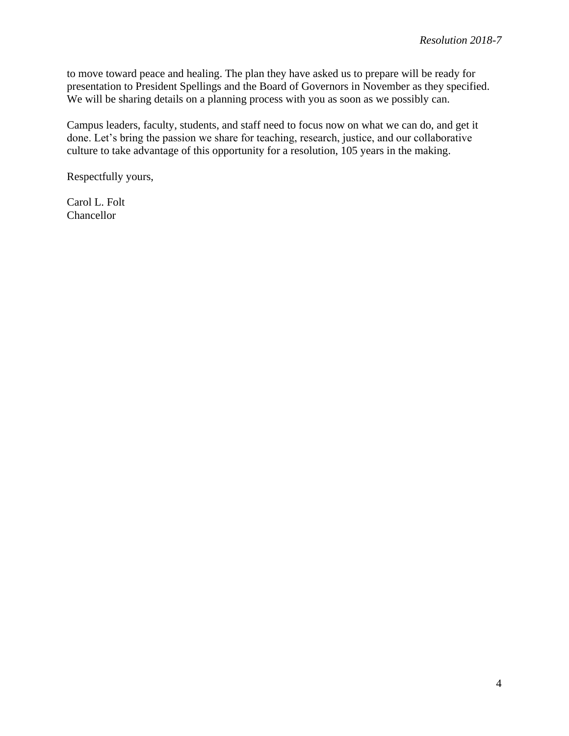to move toward peace and healing. The plan they have asked us to prepare will be ready for presentation to President Spellings and the Board of Governors in November as they specified. We will be sharing details on a planning process with you as soon as we possibly can.

Campus leaders, faculty, students, and staff need to focus now on what we can do, and get it done. Let's bring the passion we share for teaching, research, justice, and our collaborative culture to take advantage of this opportunity for a resolution, 105 years in the making.

Respectfully yours,

Carol L. Folt Chancellor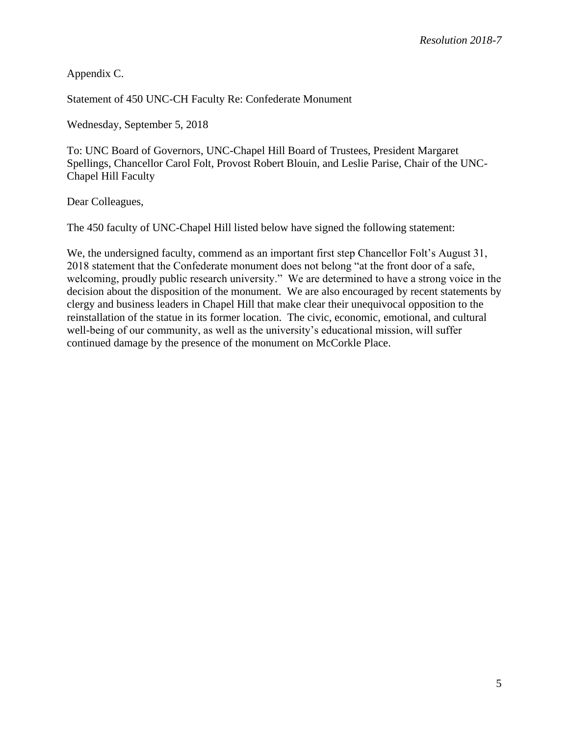Appendix C.

Statement of 450 UNC-CH Faculty Re: Confederate Monument

Wednesday, September 5, 2018

To: UNC Board of Governors, UNC-Chapel Hill Board of Trustees, President Margaret Spellings, Chancellor Carol Folt, Provost Robert Blouin, and Leslie Parise, Chair of the UNC-Chapel Hill Faculty

Dear Colleagues,

The 450 faculty of UNC-Chapel Hill listed below have signed the following statement:

We, the undersigned faculty, commend as an important first step Chancellor Folt's August 31, 2018 statement that the Confederate monument does not belong "at the front door of a safe, welcoming, proudly public research university." We are determined to have a strong voice in the decision about the disposition of the monument. We are also encouraged by recent statements by clergy and business leaders in Chapel Hill that make clear their unequivocal opposition to the reinstallation of the statue in its former location. The civic, economic, emotional, and cultural well-being of our community, as well as the university's educational mission, will suffer continued damage by the presence of the monument on McCorkle Place.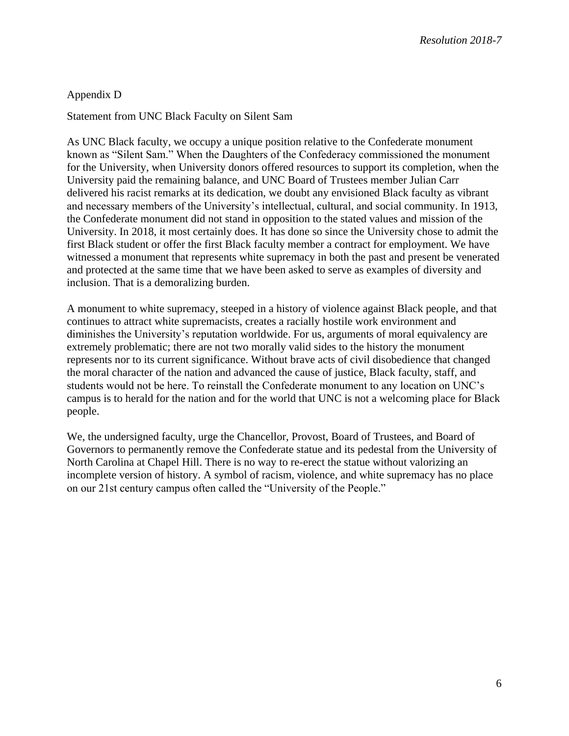### Appendix D

Statement from UNC Black Faculty on Silent Sam

As UNC Black faculty, we occupy a unique position relative to the Confederate monument known as "Silent Sam." When the Daughters of the Confederacy commissioned the monument for the University, when University donors offered resources to support its completion, when the University paid the remaining balance, and UNC Board of Trustees member Julian Carr delivered his racist remarks at its dedication, we doubt any envisioned Black faculty as vibrant and necessary members of the University's intellectual, cultural, and social community. In 1913, the Confederate monument did not stand in opposition to the stated values and mission of the University. In 2018, it most certainly does. It has done so since the University chose to admit the first Black student or offer the first Black faculty member a contract for employment. We have witnessed a monument that represents white supremacy in both the past and present be venerated and protected at the same time that we have been asked to serve as examples of diversity and inclusion. That is a demoralizing burden.

A monument to white supremacy, steeped in a history of violence against Black people, and that continues to attract white supremacists, creates a racially hostile work environment and diminishes the University's reputation worldwide. For us, arguments of moral equivalency are extremely problematic; there are not two morally valid sides to the history the monument represents nor to its current significance. Without brave acts of civil disobedience that changed the moral character of the nation and advanced the cause of justice, Black faculty, staff, and students would not be here. To reinstall the Confederate monument to any location on UNC's campus is to herald for the nation and for the world that UNC is not a welcoming place for Black people.

We, the undersigned faculty, urge the Chancellor, Provost, Board of Trustees, and Board of Governors to permanently remove the Confederate statue and its pedestal from the University of North Carolina at Chapel Hill. There is no way to re-erect the statue without valorizing an incomplete version of history. A symbol of racism, violence, and white supremacy has no place on our 21st century campus often called the "University of the People."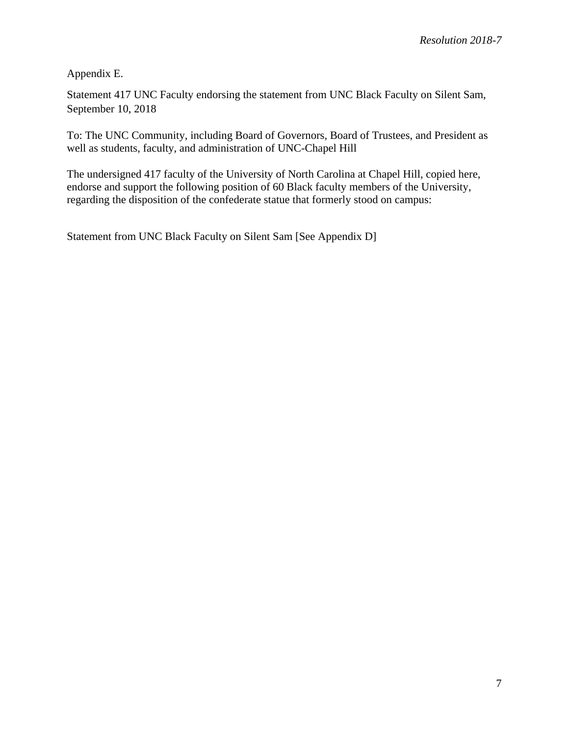Appendix E.

Statement 417 UNC Faculty endorsing the statement from UNC Black Faculty on Silent Sam, September 10, 2018

To: The UNC Community, including Board of Governors, Board of Trustees, and President as well as students, faculty, and administration of UNC-Chapel Hill

The undersigned 417 faculty of the University of North Carolina at Chapel Hill, copied here, endorse and support the following position of 60 Black faculty members of the University, regarding the disposition of the confederate statue that formerly stood on campus:

Statement from UNC Black Faculty on Silent Sam [See Appendix D]